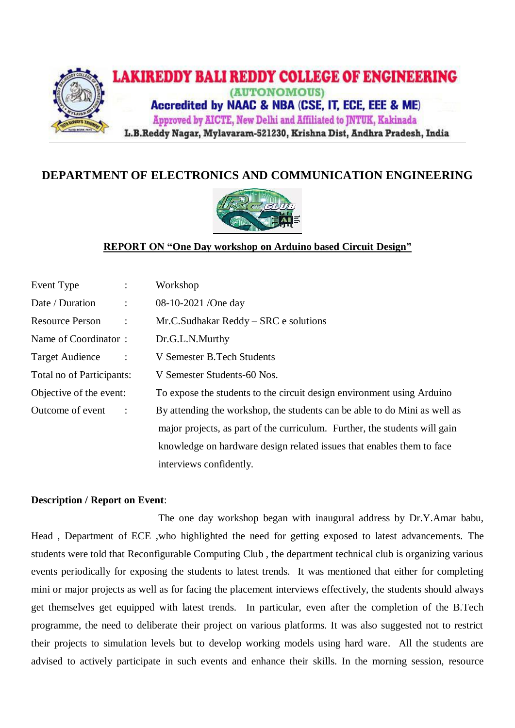

# **DEPARTMENT OF ELECTRONICS AND COMMUNICATION ENGINEERING**



## **REPORT ON "One Day workshop on Arduino based Circuit Design"**

| Event Type<br>$\ddot{\cdot}$             | Workshop                                                                   |
|------------------------------------------|----------------------------------------------------------------------------|
| Date / Duration<br>$\ddot{\cdot}$        | 08-10-2021 /One day                                                        |
| <b>Resource Person</b><br>$\ddot{\cdot}$ | Mr.C.Sudhakar Reddy – SRC e solutions                                      |
| Name of Coordinator:                     | Dr.G.L.N.Murthy                                                            |
| <b>Target Audience</b><br>$\ddot{\cdot}$ | V Semester B. Tech Students                                                |
| Total no of Participants:                | V Semester Students-60 Nos.                                                |
| Objective of the event:                  | To expose the students to the circuit design environment using Arduino     |
| Outcome of event<br>$\ddot{\cdot}$       | By attending the workshop, the students can be able to do Mini as well as  |
|                                          | major projects, as part of the curriculum. Further, the students will gain |
|                                          | knowledge on hardware design related issues that enables them to face      |
|                                          | interviews confidently.                                                    |

### **Description / Report on Event**:

The one day workshop began with inaugural address by Dr.Y.Amar babu, Head , Department of ECE ,who highlighted the need for getting exposed to latest advancements. The students were told that Reconfigurable Computing Club , the department technical club is organizing various events periodically for exposing the students to latest trends. It was mentioned that either for completing mini or major projects as well as for facing the placement interviews effectively, the students should always get themselves get equipped with latest trends. In particular, even after the completion of the B.Tech programme, the need to deliberate their project on various platforms. It was also suggested not to restrict their projects to simulation levels but to develop working models using hard ware. All the students are advised to actively participate in such events and enhance their skills. In the morning session, resource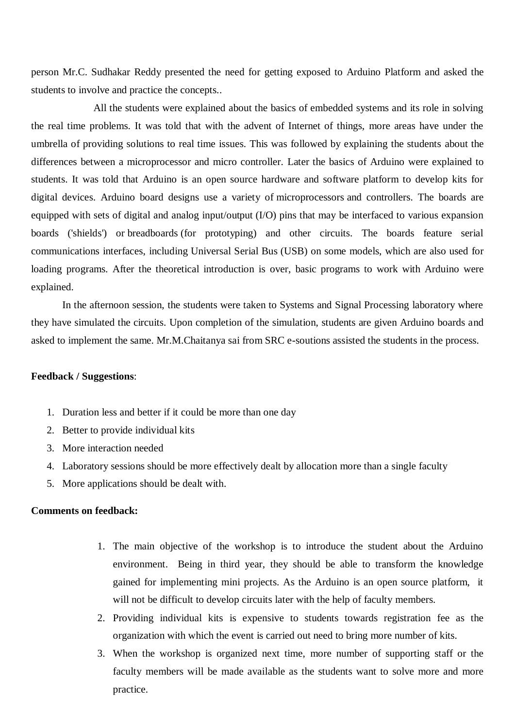person Mr.C. Sudhakar Reddy presented the need for getting exposed to Arduino Platform and asked the students to involve and practice the concepts..

All the students were explained about the basics of embedded systems and its role in solving the real time problems. It was told that with the advent of Internet of things, more areas have under the umbrella of providing solutions to real time issues. This was followed by explaining the students about the differences between a microprocessor and micro controller. Later the basics of Arduino were explained to students. It was told that Arduino is an open source hardware and software platform to develop kits for digital devices. Arduino board designs use a variety of [microprocessors](https://en.wikipedia.org/wiki/Microprocessor) and controllers. The boards are equipped with sets of digital and analog [input/output](https://en.wikipedia.org/wiki/Input/output) (I/O) pins that may be interfaced to various expansion boards ('shields') or [breadboards](https://en.wikipedia.org/wiki/Breadboards) (for prototyping) and other circuits. The boards feature serial communications interfaces, including [Universal Serial Bus](https://en.wikipedia.org/wiki/Universal_Serial_Bus) (USB) on some models, which are also used for loading programs. After the theoretical introduction is over, basic programs to work with Arduino were explained.

In the afternoon session, the students were taken to Systems and Signal Processing laboratory where they have simulated the circuits. Upon completion of the simulation, students are given Arduino boards and asked to implement the same. Mr.M.Chaitanya sai from SRC e-soutions assisted the students in the process.

#### **Feedback / Suggestions**:

- 1. Duration less and better if it could be more than one day
- 2. Better to provide individual kits
- 3. More interaction needed
- 4. Laboratory sessions should be more effectively dealt by allocation more than a single faculty
- 5. More applications should be dealt with.

## **Comments on feedback:**

- 1. The main objective of the workshop is to introduce the student about the Arduino environment. Being in third year, they should be able to transform the knowledge gained for implementing mini projects. As the Arduino is an open source platform, it will not be difficult to develop circuits later with the help of faculty members.
- 2. Providing individual kits is expensive to students towards registration fee as the organization with which the event is carried out need to bring more number of kits.
- 3. When the workshop is organized next time, more number of supporting staff or the faculty members will be made available as the students want to solve more and more practice.